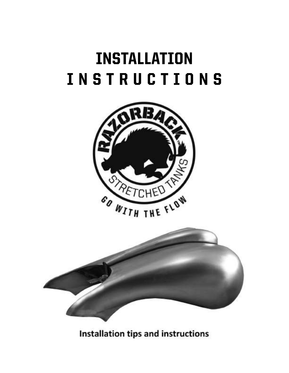## INSTALLATION INSTRUCTIONS



Installation tips and instructions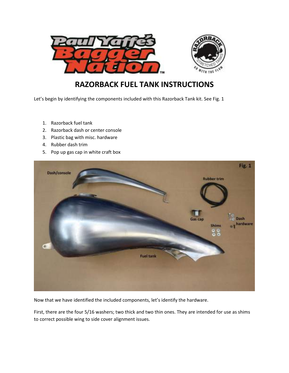

## **RAZORBACK FUEL TANK INSTRUCTIONS**

Let's begin by identifying the components included with this Razorback Tank kit. See Fig. 1

- 1. Razorback fuel tank
- 2. Razorback dash or center console
- 3. Plastic bag with misc. hardware
- 4. Rubber dash trim
- 5. Pop up gas cap in white craft box



Now that we have identified the included components, let's identify the hardware.

First, there are the four 5/16 washers; two thick and two thin ones. They are intended for use as shims to correct possible wing to side cover alignment issues.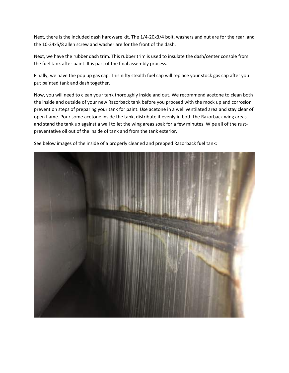Next, there is the included dash hardware kit. The 1/4-20x3/4 bolt, washers and nut are for the rear, and the 10-24x5/8 allen screw and washer are for the front of the dash.

Next, we have the rubber dash trim. This rubber trim is used to insulate the dash/center console from the fuel tank after paint. It is part of the final assembly process.

Finally, we have the pop up gas cap. This nifty stealth fuel cap will replace your stock gas cap after you put painted tank and dash together.

Now, you will need to clean your tank thoroughly inside and out. We recommend acetone to clean both the inside and outside of your new Razorback tank before you proceed with the mock up and corrosion prevention steps of preparing your tank for paint. Use acetone in a well ventilated area and stay clear of open flame. Pour some acetone inside the tank, distribute it evenly in both the Razorback wing areas and stand the tank up against a wall to let the wing areas soak for a few minutes. Wipe all of the rustpreventative oil out of the inside of tank and from the tank exterior.



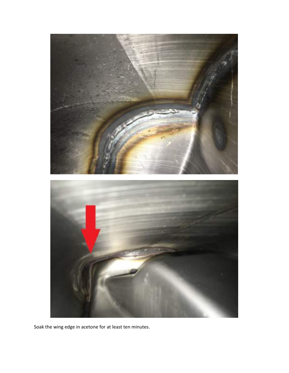

Soak the wing edge in acetone for at least ten minutes.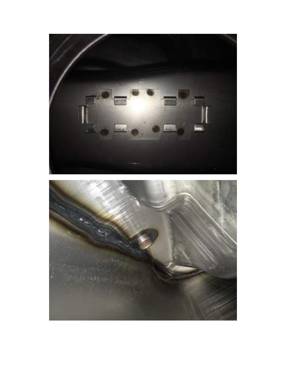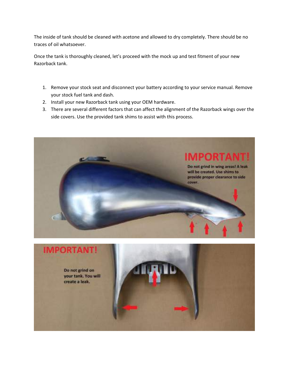The inside of tank should be cleaned with acetone and allowed to dry completely. There should be no traces of oil whatsoever.

Once the tank is thoroughly cleaned, let's proceed with the mock up and test fitment of your new Razorback tank.

- 1. Remove your stock seat and disconnect your battery according to your service manual. Remove your stock fuel tank and dash.
- 2. Install your new Razorback tank using your OEM hardware.
- 3. There are several different factors that can affect the alignment of the Razorback wings over the side covers. Use the provided tank shims to assist with this process.

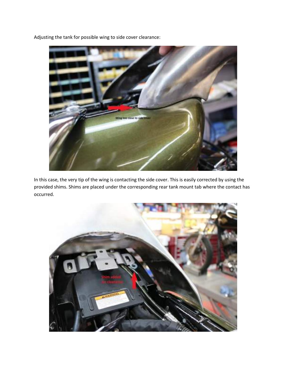Adjusting the tank for possible wing to side cover clearance:



In this case, the very tip of the wing is contacting the side cover. This is easily corrected by using the provided shims. Shims are placed under the corresponding rear tank mount tab where the contact has occurred.

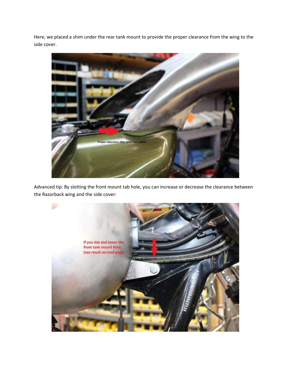Here, we placed a shim under the rear tank mount to provide the proper clearance from the wing to the side cover.



Advanced tip: By slotting the front mount tab hole, you can increase or decrease the clearance between the Razorback wing and the side cover:

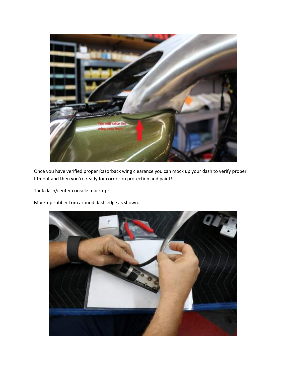

Once you have verified proper Razorback wing clearance you can mock up your dash to verify proper fitment and then you're ready for corrosion protection and paint!

Tank dash/center console mock up:

Mock up rubber trim around dash edge as shown.

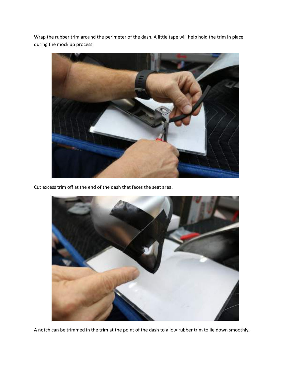Wrap the rubber trim around the perimeter of the dash. A little tape will help hold the trim in place during the mock up process.



Cut excess trim off at the end of the dash that faces the seat area.



A notch can be trimmed in the trim at the point of the dash to allow rubber trim to lie down smoothly.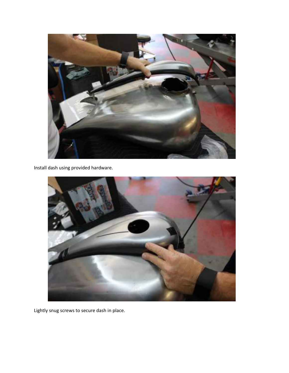

Install dash using provided hardware.



Lightly snug screws to secure dash in place.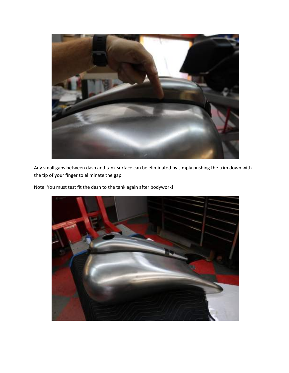

Any small gaps between dash and tank surface can be eliminated by simply pushing the trim down with the tip of your finger to eliminate the gap.

Note: You must test fit the dash to the tank again after bodywork!

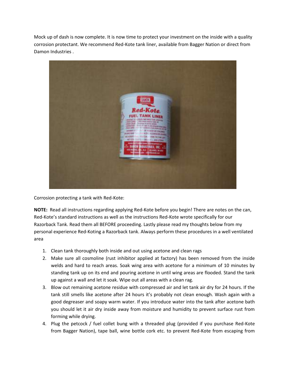Mock up of dash is now complete. It is now time to protect your investment on the inside with a quality corrosion protectant. We recommend Red-Kote tank liner, available from Bagger Nation or direct from Damon Industries .



Corrosion protecting a tank with Red-Kote:

**NOTE:** Read all instructions regarding applying Red-Kote before you begin! There are notes on the can, Red-Kote's standard instructions as well as the instructions Red-Kote wrote specifically for our Razorback Tank. Read them all BEFORE proceeding. Lastly please read my thoughts below from my personal experience Red-Koting a Razorback tank. Always perform these procedures in a well ventilated area

- 1. Clean tank thoroughly both inside and out using acetone and clean rags
- 2. Make sure all cosmoline (rust inhibitor applied at factory) has been removed from the inside welds and hard to reach areas. Soak wing area with acetone for a minimum of 10 minutes by standing tank up on its end and pouring acetone in until wing areas are flooded. Stand the tank up against a wall and let it soak. Wipe out all areas with a clean rag.
- 3. Blow out remaining acetone residue with compressed air and let tank air dry for 24 hours. If the tank still smells like acetone after 24 hours it's probably not clean enough. Wash again with a good degreaser and soapy warm water. If you introduce water into the tank after acetone bath you should let it air dry inside away from moisture and humidity to prevent surface rust from forming while drying.
- 4. Plug the petcock / fuel collet bung with a threaded plug (provided if you purchase Red-Kote from Bagger Nation), tape ball, wine bottle cork etc. to prevent Red-Kote from escaping from